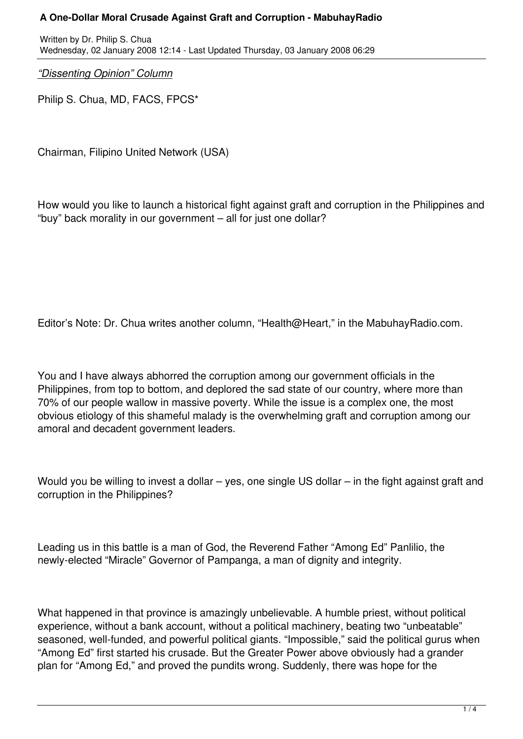## **A One-Dollar Moral Crusade Against Graft and Corruption - MabuhayRadio**

Written by Dr. Philip S. Chua Wednesday, 02 January 2008 12:14 - Last Updated Thursday, 03 January 2008 06:29

*"Dissenting Opinion" Column*

Philip S. Chua, MD, FACS, FPCS\*

Chairman, Filipino United Network (USA)

How would you like to launch a historical fight against graft and corruption in the Philippines and "buy" back morality in our government – all for just one dollar?

Editor's Note: Dr. Chua writes another column, "Health@Heart," in the MabuhayRadio.com.

You and I have always abhorred the corruption among our government officials in the Philippines, from top to bottom, and deplored the sad state of our country, where more than 70% of our people wallow in massive poverty. While the issue is a complex one, the most obvious etiology of this shameful malady is the overwhelming graft and corruption among our amoral and decadent government leaders.

Would you be willing to invest a dollar – yes, one single US dollar – in the fight against graft and corruption in the Philippines?

Leading us in this battle is a man of God, the Reverend Father "Among Ed" Panlilio, the newly-elected "Miracle" Governor of Pampanga, a man of dignity and integrity.

What happened in that province is amazingly unbelievable. A humble priest, without political experience, without a bank account, without a political machinery, beating two "unbeatable" seasoned, well-funded, and powerful political giants. "Impossible," said the political gurus when "Among Ed" first started his crusade. But the Greater Power above obviously had a grander plan for "Among Ed," and proved the pundits wrong. Suddenly, there was hope for the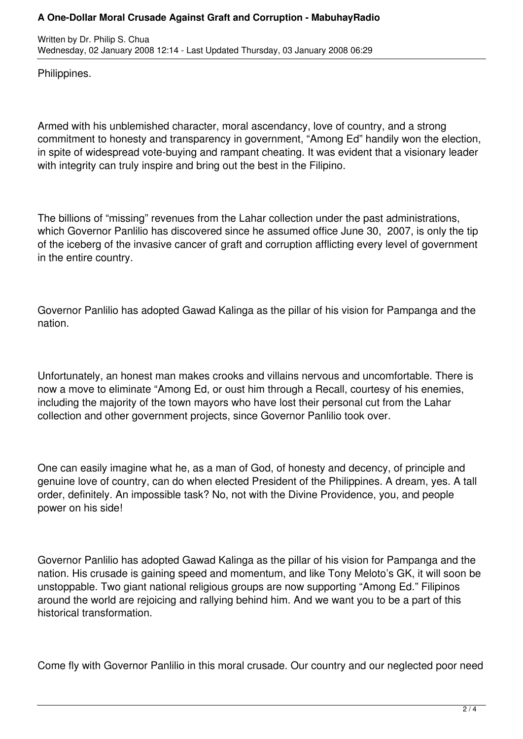## **A One-Dollar Moral Crusade Against Graft and Corruption - MabuhayRadio**

Written by Dr. Philip S. Chua Wednesday, 02 January 2008 12:14 - Last Updated Thursday, 03 January 2008 06:29

Philippines.

Armed with his unblemished character, moral ascendancy, love of country, and a strong commitment to honesty and transparency in government, "Among Ed" handily won the election, in spite of widespread vote-buying and rampant cheating. It was evident that a visionary leader with integrity can truly inspire and bring out the best in the Filipino.

The billions of "missing" revenues from the Lahar collection under the past administrations, which Governor Panlilio has discovered since he assumed office June 30, 2007, is only the tip of the iceberg of the invasive cancer of graft and corruption afflicting every level of government in the entire country.

Governor Panlilio has adopted Gawad Kalinga as the pillar of his vision for Pampanga and the nation.

Unfortunately, an honest man makes crooks and villains nervous and uncomfortable. There is now a move to eliminate "Among Ed, or oust him through a Recall, courtesy of his enemies, including the majority of the town mayors who have lost their personal cut from the Lahar collection and other government projects, since Governor Panlilio took over.

One can easily imagine what he, as a man of God, of honesty and decency, of principle and genuine love of country, can do when elected President of the Philippines. A dream, yes. A tall order, definitely. An impossible task? No, not with the Divine Providence, you, and people power on his side!

Governor Panlilio has adopted Gawad Kalinga as the pillar of his vision for Pampanga and the nation. His crusade is gaining speed and momentum, and like Tony Meloto's GK, it will soon be unstoppable. Two giant national religious groups are now supporting "Among Ed." Filipinos around the world are rejoicing and rallying behind him. And we want you to be a part of this historical transformation.

Come fly with Governor Panlilio in this moral crusade. Our country and our neglected poor need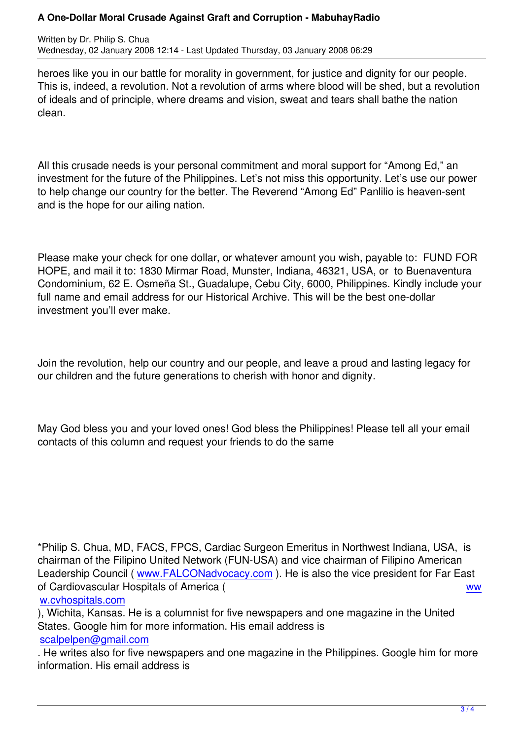Written by Dr. Philip S. Chuan by Dr. Philip S. Chuan by Dr. Philip S. Chuan by D

heroes like you in our battle for morality in government, for justice and dignity for our people. This is, indeed, a revolution. Not a revolution of arms where blood will be shed, but a revolution of ideals and of principle, where dreams and vision, sweat and tears shall bathe the nation clean.

All this crusade needs is your personal commitment and moral support for "Among Ed," an investment for the future of the Philippines. Let's not miss this opportunity. Let's use our power to help change our country for the better. The Reverend "Among Ed" Panlilio is heaven-sent and is the hope for our ailing nation.

Please make your check for one dollar, or whatever amount you wish, payable to: FUND FOR HOPE, and mail it to: 1830 Mirmar Road, Munster, Indiana, 46321, USA, or to Buenaventura Condominium, 62 E. Osmeña St., Guadalupe, Cebu City, 6000, Philippines. Kindly include your full name and email address for our Historical Archive. This will be the best one-dollar investment you'll ever make.

Join the revolution, help our country and our people, and leave a proud and lasting legacy for our children and the future generations to cherish with honor and dignity.

May God bless you and your loved ones! God bless the Philippines! Please tell all your email contacts of this column and request your friends to do the same

\*Philip S. Chua, MD, FACS, FPCS, Cardiac Surgeon Emeritus in Northwest Indiana, USA, is chairman of the Filipino United Network (FUN-USA) and vice chairman of Filipino American Leadership Council (www.FALCONadvocacy.com). He is also the vice president for Far East of Cardiovascular Hospitals of America ( ww w.cvhospitals.com

), Wichita, Kansas. H[e is a columnist for five newsp](http://www.falconadvocacy.com/)apers and one magazine in the United States. Google him for more information. His email address is [scalpelpen@gmail](http://www.cvhospitals.com/).com

. He writes also for five newspapers and one magazine in the Philippines. Google him for more information. His email address is